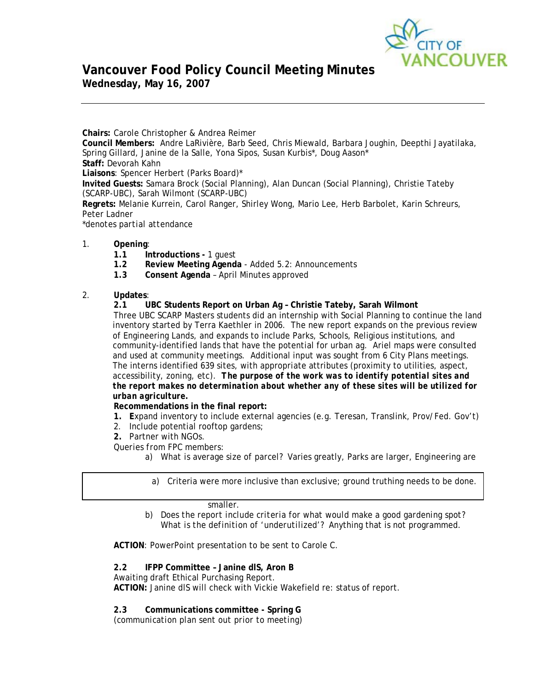

# **Vancouver Food Policy Council Meeting Minutes Wednesday, May 16, 2007**

**Chairs:** Carole Christopher & Andrea Reimer **Council Members:** Andre LaRivière, Barb Seed, Chris Miewald, Barbara Joughin, Deepthi Jayatilaka, Spring Gillard, Janine de la Salle, Yona Sipos, Susan Kurbis\*, Doug Aason\* **Staff:** Devorah Kahn **Liaisons**: Spencer Herbert (Parks Board)\* **Invited Guests:** Samara Brock (Social Planning), Alan Duncan (Social Planning), Christie Tateby (SCARP-UBC), Sarah Wilmont (SCARP-UBC) **Regrets:** Melanie Kurrein, Carol Ranger, Shirley Wong, Mario Lee, Herb Barbolet, Karin Schreurs, Peter Ladner *\*denotes partial attendance* 

- 1. **Opening**:
	- **1.1 Introductions -** 1 guest
	- **1.2 Review Meeting Agenda** Added 5.2: Announcements
	- **1.3 Consent Agenda** April Minutes approved

# 2. **Updates**:

**2.1 UBC Students Report on Urban Ag – Christie Tateby, Sarah Wilmont**  Three UBC SCARP Masters students did an internship with Social Planning to continue the land inventory started by Terra Kaethler in 2006. The new report expands on the previous review of Engineering Lands, and expands to include Parks, Schools, Religious institutions, and community-identified lands that have the potential for urban ag. Ariel maps were consulted and used at community meetings. Additional input was sought from 6 City Plans meetings. The interns identified 639 sites, with appropriate attributes (proximity to utilities, aspect, accessibility, zoning, etc). *The purpose of the work was to identify potential sites and the report makes no determination about whether any of these sites will be utilized for urban agriculture.* 

# **Recommendations in the final report:**

- **1. E**xpand inventory to include external agencies (e.g. Teresan, Translink, Prov/Fed. Gov't)
- 2. Include potential rooftop gardens;
- **2.** Partner with NGOs.

*Queries from FPC members:* 

*a) What is average size of parcel?* Varies greatly, Parks are larger, Engineering are

*a)* Criteria were more inclusive than exclusive; ground truthing needs to be done.

# smaller.

*b) Does the report include criteria for what would make a good gardening spot*? *What is the definition of 'underutilized'?* Anything that is not programmed.

**ACTION**: PowerPoint presentation to be sent to Carole C.

# **2.2 IFPP Committee – Janine dlS, Aron B**

Awaiting draft Ethical Purchasing Report.

**ACTION:** Janine dlS will check with Vickie Wakefield re: status of report.

**2.3 Communications committee - Spring G** 

*(communication plan sent out prior to meeting)*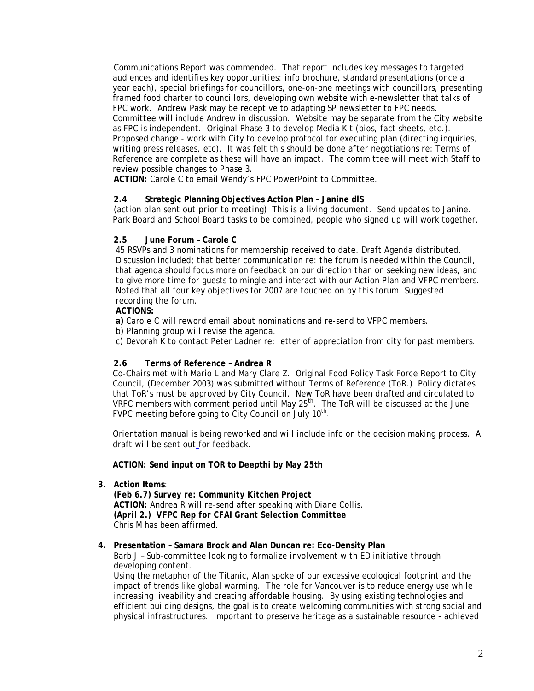Communications Report was commended. That report includes key messages to targeted audiences and identifies key opportunities: info brochure, standard presentations (once a year each), special briefings for councillors, one-on-one meetings with councillors, presenting framed food charter to councillors, developing own website with e-newsletter that talks of FPC work. Andrew Pask may be receptive to adapting SP newsletter to FPC needs. Committee will include Andrew in discussion. Website may be separate from the City website as FPC is independent. Original Phase 3 to develop Media Kit (bios, fact sheets, etc.). Proposed change - work with City to develop protocol for executing plan (directing inquiries, writing press releases, etc). It was felt this should be done *after* negotiations re: Terms of Reference are complete as these will have an impact. The committee will meet with Staff to review possible changes to Phase 3.

**ACTION:** Carole C to email Wendy's FPC PowerPoint to Committee.

# **2.4 Strategic Planning Objectives Action Plan – Janine dlS**

*(action plan sent out prior to meeting)* This is a living document. Send updates to Janine. Park Board and School Board tasks to be combined, people who signed up will work together.

# **2.5 June Forum – Carole C**

45 RSVPs and 3 nominations for membership received to date. Draft Agenda distributed. Discussion included; that better communication re: the forum is needed within the Council, that agenda should focus more on feedback on our direction than on seeking new ideas, and to give more time for guests to mingle and interact with our Action Plan and VFPC members. Noted that all four key objectives for 2007 are touched on by this forum. Suggested recording the forum.

## **ACTIONS:**

**a)** Carole C will reword email about nominations and re-send to VFPC members.

b) Planning group will revise the agenda.

c) Devorah K to contact Peter Ladner re: letter of appreciation from city for past members.

# **2.6 Terms of Reference – Andrea R**

Co-Chairs met with Mario L and Mary Clare Z. Original Food Policy Task Force Report to City Council, (December 2003) was submitted without Terms of Reference (ToR.) Policy dictates that ToR's must be approved by City Council. New ToR have been drafted and circulated to VRFC members with comment period until May  $25<sup>th</sup>$ . The ToR will be discussed at the June FVPC meeting before going to City Council on July 10<sup>th</sup>.

Orientation manual is being reworked and will include info on the decision making process. A draft will be sent out for feedback.

## **ACTION: Send input on TOR to Deepthi by May 25th**

**3. Action Items**:

*(Feb 6.7) Survey re: Community Kitchen Project*  **ACTION:** Andrea R will re-send after speaking with Diane Collis.  *(April 2.) VFPC Rep for CFAI Grant Selection Committee* Chris M has been affirmed.

## **4. Presentation – Samara Brock and Alan Duncan re: Eco-Density Plan**

Barb J – Sub-committee looking to formalize involvement with ED initiative through developing content.

Using the metaphor of the Titanic, Alan spoke of our excessive ecological footprint and the impact of trends like global warming. The role for Vancouver is to reduce energy use while increasing liveability and creating affordable housing. By using existing technologies and efficient building designs, the goal is to create welcoming communities with strong social and physical infrastructures. Important to preserve heritage as a sustainable resource - achieved